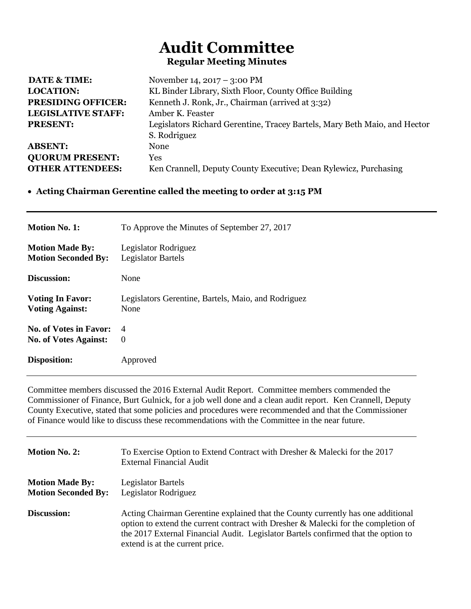## **Audit Committee Regular Meeting Minutes**

| November 14, $2017 - 3:00$ PM                                             |
|---------------------------------------------------------------------------|
| KL Binder Library, Sixth Floor, County Office Building                    |
| Kenneth J. Ronk, Jr., Chairman (arrived at 3:32)                          |
| Amber K. Feaster                                                          |
| Legislators Richard Gerentine, Tracey Bartels, Mary Beth Maio, and Hector |
| S. Rodriguez                                                              |
| None                                                                      |
| Yes                                                                       |
| Ken Crannell, Deputy County Executive; Dean Rylewicz, Purchasing          |
|                                                                           |

## **Acting Chairman Gerentine called the meeting to order at 3:15 PM**

| <b>Motion No. 1:</b>          | To Approve the Minutes of September 27, 2017        |
|-------------------------------|-----------------------------------------------------|
| <b>Motion Made By:</b>        | Legislator Rodriguez                                |
| <b>Motion Seconded By:</b>    | <b>Legislator Bartels</b>                           |
| Discussion:                   | None                                                |
| <b>Voting In Favor:</b>       | Legislators Gerentine, Bartels, Maio, and Rodriguez |
| <b>Voting Against:</b>        | None                                                |
| <b>No. of Votes in Favor:</b> | 4                                                   |
| <b>No. of Votes Against:</b>  | $\Omega$                                            |
| <b>Disposition:</b>           | Approved                                            |

Committee members discussed the 2016 External Audit Report. Committee members commended the Commissioner of Finance, Burt Gulnick, for a job well done and a clean audit report. Ken Crannell, Deputy County Executive, stated that some policies and procedures were recommended and that the Commissioner of Finance would like to discuss these recommendations with the Committee in the near future.

| <b>Motion No. 2:</b>                                 | To Exercise Option to Extend Contract with Dresher & Malecki for the 2017<br><b>External Financial Audit</b>                                                                                                                                                                                    |
|------------------------------------------------------|-------------------------------------------------------------------------------------------------------------------------------------------------------------------------------------------------------------------------------------------------------------------------------------------------|
| <b>Motion Made By:</b><br><b>Motion Seconded By:</b> | Legislator Bartels<br>Legislator Rodriguez                                                                                                                                                                                                                                                      |
| <b>Discussion:</b>                                   | Acting Chairman Gerentine explained that the County currently has one additional<br>option to extend the current contract with Dresher & Malecki for the completion of<br>the 2017 External Financial Audit. Legislator Bartels confirmed that the option to<br>extend is at the current price. |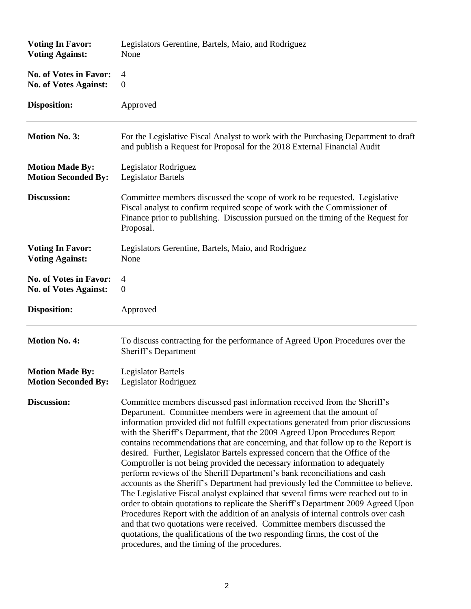| <b>Voting In Favor:</b>       | Legislators Gerentine, Bartels, Maio, and Rodriguez                                                                                                                                                                                                                                                                                                                                                                                                                                                                                                                                                                                                                                                                                                                                                                                                                                                                                                                                                                                                                                                                                                                                                               |
|-------------------------------|-------------------------------------------------------------------------------------------------------------------------------------------------------------------------------------------------------------------------------------------------------------------------------------------------------------------------------------------------------------------------------------------------------------------------------------------------------------------------------------------------------------------------------------------------------------------------------------------------------------------------------------------------------------------------------------------------------------------------------------------------------------------------------------------------------------------------------------------------------------------------------------------------------------------------------------------------------------------------------------------------------------------------------------------------------------------------------------------------------------------------------------------------------------------------------------------------------------------|
| <b>Voting Against:</b>        | None                                                                                                                                                                                                                                                                                                                                                                                                                                                                                                                                                                                                                                                                                                                                                                                                                                                                                                                                                                                                                                                                                                                                                                                                              |
| <b>No. of Votes in Favor:</b> | 4                                                                                                                                                                                                                                                                                                                                                                                                                                                                                                                                                                                                                                                                                                                                                                                                                                                                                                                                                                                                                                                                                                                                                                                                                 |
| <b>No. of Votes Against:</b>  | $\boldsymbol{0}$                                                                                                                                                                                                                                                                                                                                                                                                                                                                                                                                                                                                                                                                                                                                                                                                                                                                                                                                                                                                                                                                                                                                                                                                  |
| Disposition:                  | Approved                                                                                                                                                                                                                                                                                                                                                                                                                                                                                                                                                                                                                                                                                                                                                                                                                                                                                                                                                                                                                                                                                                                                                                                                          |
| <b>Motion No. 3:</b>          | For the Legislative Fiscal Analyst to work with the Purchasing Department to draft<br>and publish a Request for Proposal for the 2018 External Financial Audit                                                                                                                                                                                                                                                                                                                                                                                                                                                                                                                                                                                                                                                                                                                                                                                                                                                                                                                                                                                                                                                    |
| <b>Motion Made By:</b>        | Legislator Rodriguez                                                                                                                                                                                                                                                                                                                                                                                                                                                                                                                                                                                                                                                                                                                                                                                                                                                                                                                                                                                                                                                                                                                                                                                              |
| <b>Motion Seconded By:</b>    | <b>Legislator Bartels</b>                                                                                                                                                                                                                                                                                                                                                                                                                                                                                                                                                                                                                                                                                                                                                                                                                                                                                                                                                                                                                                                                                                                                                                                         |
| Discussion:                   | Committee members discussed the scope of work to be requested. Legislative<br>Fiscal analyst to confirm required scope of work with the Commissioner of<br>Finance prior to publishing. Discussion pursued on the timing of the Request for<br>Proposal.                                                                                                                                                                                                                                                                                                                                                                                                                                                                                                                                                                                                                                                                                                                                                                                                                                                                                                                                                          |
| <b>Voting In Favor:</b>       | Legislators Gerentine, Bartels, Maio, and Rodriguez                                                                                                                                                                                                                                                                                                                                                                                                                                                                                                                                                                                                                                                                                                                                                                                                                                                                                                                                                                                                                                                                                                                                                               |
| <b>Voting Against:</b>        | None                                                                                                                                                                                                                                                                                                                                                                                                                                                                                                                                                                                                                                                                                                                                                                                                                                                                                                                                                                                                                                                                                                                                                                                                              |
| <b>No. of Votes in Favor:</b> | $\overline{4}$                                                                                                                                                                                                                                                                                                                                                                                                                                                                                                                                                                                                                                                                                                                                                                                                                                                                                                                                                                                                                                                                                                                                                                                                    |
| <b>No. of Votes Against:</b>  | $\boldsymbol{0}$                                                                                                                                                                                                                                                                                                                                                                                                                                                                                                                                                                                                                                                                                                                                                                                                                                                                                                                                                                                                                                                                                                                                                                                                  |
| Disposition:                  | Approved                                                                                                                                                                                                                                                                                                                                                                                                                                                                                                                                                                                                                                                                                                                                                                                                                                                                                                                                                                                                                                                                                                                                                                                                          |
| <b>Motion No. 4:</b>          | To discuss contracting for the performance of Agreed Upon Procedures over the<br>Sheriff's Department                                                                                                                                                                                                                                                                                                                                                                                                                                                                                                                                                                                                                                                                                                                                                                                                                                                                                                                                                                                                                                                                                                             |
| <b>Motion Made By:</b>        | <b>Legislator Bartels</b>                                                                                                                                                                                                                                                                                                                                                                                                                                                                                                                                                                                                                                                                                                                                                                                                                                                                                                                                                                                                                                                                                                                                                                                         |
| <b>Motion Seconded By:</b>    | Legislator Rodriguez                                                                                                                                                                                                                                                                                                                                                                                                                                                                                                                                                                                                                                                                                                                                                                                                                                                                                                                                                                                                                                                                                                                                                                                              |
| Discussion:                   | Committee members discussed past information received from the Sheriff's<br>Department. Committee members were in agreement that the amount of<br>information provided did not fulfill expectations generated from prior discussions<br>with the Sheriff's Department, that the 2009 Agreed Upon Procedures Report<br>contains recommendations that are concerning, and that follow up to the Report is<br>desired. Further, Legislator Bartels expressed concern that the Office of the<br>Comptroller is not being provided the necessary information to adequately<br>perform reviews of the Sheriff Department's bank reconciliations and cash<br>accounts as the Sheriff's Department had previously led the Committee to believe.<br>The Legislative Fiscal analyst explained that several firms were reached out to in<br>order to obtain quotations to replicate the Sheriff's Department 2009 Agreed Upon<br>Procedures Report with the addition of an analysis of internal controls over cash<br>and that two quotations were received. Committee members discussed the<br>quotations, the qualifications of the two responding firms, the cost of the<br>procedures, and the timing of the procedures. |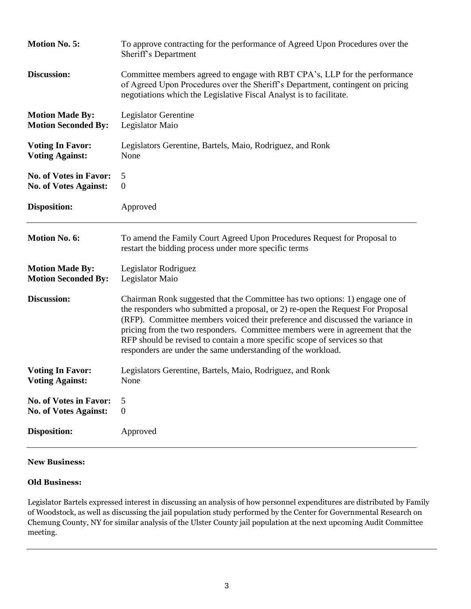| <b>Motion No. 5:</b>          | To approve contracting for the performance of Agreed Upon Procedures over the<br>Sheriff's Department                                                                                                                                                                                                                                                                                                                                                                            |
|-------------------------------|----------------------------------------------------------------------------------------------------------------------------------------------------------------------------------------------------------------------------------------------------------------------------------------------------------------------------------------------------------------------------------------------------------------------------------------------------------------------------------|
| Discussion:                   | Committee members agreed to engage with RBT CPA's, LLP for the performance<br>of Agreed Upon Procedures over the Sheriff's Department, contingent on pricing<br>negotiations which the Legislative Fiscal Analyst is to facilitate.                                                                                                                                                                                                                                              |
| <b>Motion Made By:</b>        | Legislator Gerentine                                                                                                                                                                                                                                                                                                                                                                                                                                                             |
| <b>Motion Seconded By:</b>    | Legislator Maio                                                                                                                                                                                                                                                                                                                                                                                                                                                                  |
| <b>Voting In Favor:</b>       | Legislators Gerentine, Bartels, Maio, Rodriguez, and Ronk                                                                                                                                                                                                                                                                                                                                                                                                                        |
| <b>Voting Against:</b>        | None                                                                                                                                                                                                                                                                                                                                                                                                                                                                             |
| <b>No. of Votes in Favor:</b> | 5                                                                                                                                                                                                                                                                                                                                                                                                                                                                                |
| <b>No. of Votes Against:</b>  | $\overline{0}$                                                                                                                                                                                                                                                                                                                                                                                                                                                                   |
| <b>Disposition:</b>           | Approved                                                                                                                                                                                                                                                                                                                                                                                                                                                                         |
| <b>Motion No. 6:</b>          | To amend the Family Court Agreed Upon Procedures Request for Proposal to<br>restart the bidding process under more specific terms                                                                                                                                                                                                                                                                                                                                                |
| <b>Motion Made By:</b>        | Legislator Rodriguez                                                                                                                                                                                                                                                                                                                                                                                                                                                             |
| <b>Motion Seconded By:</b>    | Legislator Maio                                                                                                                                                                                                                                                                                                                                                                                                                                                                  |
| Discussion:                   | Chairman Ronk suggested that the Committee has two options: 1) engage one of<br>the responders who submitted a proposal, or 2) re-open the Request For Proposal<br>(RFP). Committee members voiced their preference and discussed the variance in<br>pricing from the two responders. Committee members were in agreement that the<br>RFP should be revised to contain a more specific scope of services so that<br>responders are under the same understanding of the workload. |
| <b>Voting In Favor:</b>       | Legislators Gerentine, Bartels, Maio, Rodriguez, and Ronk                                                                                                                                                                                                                                                                                                                                                                                                                        |
| <b>Voting Against:</b>        | None                                                                                                                                                                                                                                                                                                                                                                                                                                                                             |
| <b>No. of Votes in Favor:</b> | 5                                                                                                                                                                                                                                                                                                                                                                                                                                                                                |
| No. of Votes Against:         | $\boldsymbol{0}$                                                                                                                                                                                                                                                                                                                                                                                                                                                                 |
| <b>Disposition:</b>           | Approved                                                                                                                                                                                                                                                                                                                                                                                                                                                                         |

## **New Business:**

## **Old Business:**

Legislator Bartels expressed interest in discussing an analysis of how personnel expenditures are distributed by Family of Woodstock, as well as discussing the jail population study performed by the Center for Governmental Research on Chemung County, NY for similar analysis of the Ulster County jail population at the next upcoming Audit Committee meeting.